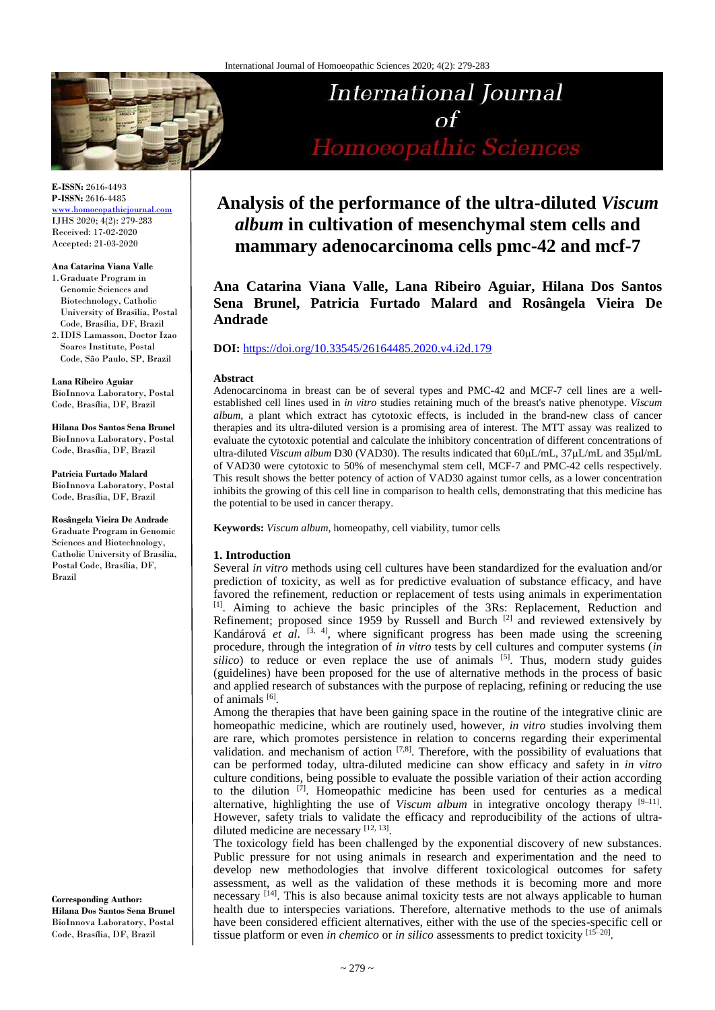

#### **E-ISSN:** 2616-4493 **P-ISSN:** 2616-4485

[www.homoeopathicjournal.com](http://www.homoeopathicjournal.com/) IJHS 2020; 4(2): 279-283 Received: 17-02-2020 Accepted: 21-03-2020

#### **Ana Catarina Viana Valle**

- 1.Graduate Program in Genomic Sciences and Biotechnology, Catholic University of Brasilia, Postal Code, Brasília, DF, Brazil 2. IDIS Lamasson, Doctor Izao
- Soares Institute, Postal Code, São Paulo, SP, Brazil

**Lana Ribeiro Aguiar** BioInnova Laboratory, Postal

Code, Brasília, DF, Brazil

**Hilana Dos Santos Sena Brunel** BioInnova Laboratory, Postal Code, Brasília, DF, Brazil

**Patricia Furtado Malard** BioInnova Laboratory, Postal Code, Brasília, DF, Brazil

**Rosângela Vieira De Andrade** Graduate Program in Genomic Sciences and Biotechnology, Catholic University of Brasilia, Postal Code, Brasília, DF, Brazil

**Corresponding Author: Hilana Dos Santos Sena Brunel** BioInnova Laboratory, Postal Code, Brasília, DF, Brazil

# International Journal  $\alpha f$ Homoeopathic Sciences

# **Analysis of the performance of the ultra-diluted** *Viscum album* **in cultivation of mesenchymal stem cells and mammary adenocarcinoma cells pmc-42 and mcf-7**

**Ana Catarina Viana Valle, Lana Ribeiro Aguiar, Hilana Dos Santos Sena Brunel, Patricia Furtado Malard and Rosângela Vieira De Andrade**

#### **DOI:** <https://doi.org/10.33545/26164485.2020.v4.i2d.179>

#### **Abstract**

Adenocarcinoma in breast can be of several types and PMC-42 and MCF-7 cell lines are a wellestablished cell lines used in *in vitro* studies retaining much of the breast's native phenotype. *Viscum album*, a plant which extract has cytotoxic effects, is included in the brand-new class of cancer therapies and its ultra-diluted version is a promising area of interest. The MTT assay was realized to evaluate the cytotoxic potential and calculate the inhibitory concentration of different concentrations of ultra-diluted *Viscum album* D30 (VAD30). The results indicated that  $60\mu\text{L/mL}$ ,  $37\mu\text{L/mL}$  and  $35\mu\text{L/mL}$ of VAD30 were cytotoxic to 50% of mesenchymal stem cell, MCF-7 and PMC-42 cells respectively. This result shows the better potency of action of VAD30 against tumor cells, as a lower concentration inhibits the growing of this cell line in comparison to health cells, demonstrating that this medicine has the potential to be used in cancer therapy.

**Keywords:** *Viscum album,* homeopathy, cell viability, tumor cells

#### **1. Introduction**

Several *in vitro* methods using cell cultures have been standardized for the evaluation and/or prediction of toxicity, as well as for predictive evaluation of substance efficacy, and have favored the refinement, reduction or replacement of tests using animals in experimentation [1]. Aiming to achieve the basic principles of the 3Rs: Replacement, Reduction and Refinement; proposed since 1959 by Russell and Burch [2] and reviewed extensively by Kandárová *et al.* <sup>[3, 4]</sup>, where significant progress has been made using the screening procedure, through the integration of *in vitro* tests by cell cultures and computer systems (*in*   $silico$ ) to reduce or even replace the use of animals  $[5]$ . Thus, modern study guides (guidelines) have been proposed for the use of alternative methods in the process of basic and applied research of substances with the purpose of replacing, refining or reducing the use of animals [6].

Among the therapies that have been gaining space in the routine of the integrative clinic are homeopathic medicine, which are routinely used, however, *in vitro* studies involving them are rare, which promotes persistence in relation to concerns regarding their experimental validation. and mechanism of action  $[7,8]$ . Therefore, with the possibility of evaluations that can be performed today, ultra-diluted medicine can show efficacy and safety in *in vitro* culture conditions, being possible to evaluate the possible variation of their action according to the dilution [7] . Homeopathic medicine has been used for centuries as a medical alternative, highlighting the use of *Viscum album* in integrative oncology therapy  $[9-11]$ . However, safety trials to validate the efficacy and reproducibility of the actions of ultradiluted medicine are necessary [12, 13].

The toxicology field has been challenged by the exponential discovery of new substances. Public pressure for not using animals in research and experimentation and the need to develop new methodologies that involve different toxicological outcomes for safety assessment, as well as the validation of these methods it is becoming more and more necessary <sup>[14]</sup>. This is also because animal toxicity tests are not always applicable to human health due to interspecies variations. Therefore, alternative methods to the use of animals have been considered efficient alternatives, either with the use of the species-specific cell or tissue platform or even *in chemico* or *in silico* assessments to predict toxicity [15–20] .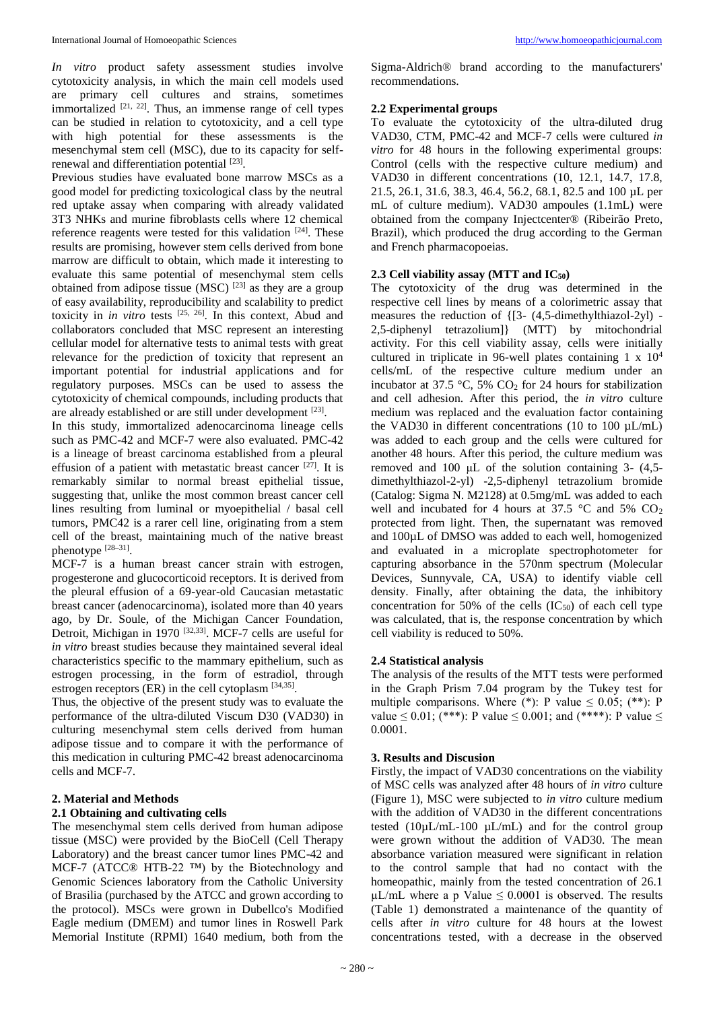*In vitro* product safety assessment studies involve cytotoxicity analysis, in which the main cell models used are primary cell cultures and strains, sometimes immortalized  $[21, 22]$ . Thus, an immense range of cell types can be studied in relation to cytotoxicity, and a cell type with high potential for these assessments is the mesenchymal stem cell (MSC), due to its capacity for selfrenewal and differentiation potential [23].

Previous studies have evaluated bone marrow MSCs as a good model for predicting toxicological class by the neutral red uptake assay when comparing with already validated 3T3 NHKs and murine fibroblasts cells where 12 chemical reference reagents were tested for this validation  $[24]$ . These results are promising, however stem cells derived from bone marrow are difficult to obtain, which made it interesting to evaluate this same potential of mesenchymal stem cells obtained from adipose tissue (MSC)<sup>[23]</sup> as they are a group of easy availability, reproducibility and scalability to predict toxicity in *in vitro* tests  $[25, 26]$ . In this context, Abud and collaborators concluded that MSC represent an interesting cellular model for alternative tests to animal tests with great relevance for the prediction of toxicity that represent an important potential for industrial applications and for regulatory purposes. MSCs can be used to assess the cytotoxicity of chemical compounds, including products that are already established or are still under development [23].

In this study, immortalized adenocarcinoma lineage cells such as PMC-42 and MCF-7 were also evaluated. PMC-42 is a lineage of breast carcinoma established from a pleural effusion of a patient with metastatic breast cancer  $[27]$ . It is remarkably similar to normal breast epithelial tissue, suggesting that, unlike the most common breast cancer cell lines resulting from luminal or myoepithelial / basal cell tumors, PMC42 is a rarer cell line, originating from a stem cell of the breast, maintaining much of the native breast phenotype [28–31].

MCF-7 is a human breast cancer strain with estrogen, progesterone and glucocorticoid receptors. It is derived from the pleural effusion of a 69-year-old Caucasian metastatic breast cancer (adenocarcinoma), isolated more than 40 years ago, by Dr. Soule, of the Michigan Cancer Foundation, Detroit, Michigan in 1970<sup>[32,33]</sup>. MCF-7 cells are useful for *in vitro* breast studies because they maintained several ideal characteristics specific to the mammary epithelium, such as estrogen processing, in the form of estradiol, through estrogen receptors (ER) in the cell cytoplasm [34,35].

Thus, the objective of the present study was to evaluate the performance of the ultra-diluted Viscum D30 (VAD30) in culturing mesenchymal stem cells derived from human adipose tissue and to compare it with the performance of this medication in culturing PMC-42 breast adenocarcinoma cells and MCF-7.

#### **2. Material and Methods 2.1 Obtaining and cultivating cells**

The mesenchymal stem cells derived from human adipose tissue (MSC) were provided by the BioCell (Cell Therapy Laboratory) and the breast cancer tumor lines PMC-42 and MCF-7 (ATCC® HTB-22 ™) by the Biotechnology and Genomic Sciences laboratory from the Catholic University of Brasilia (purchased by the ATCC and grown according to the protocol). MSCs were grown in Dubellco's Modified Eagle medium (DMEM) and tumor lines in Roswell Park Memorial Institute (RPMI) 1640 medium, both from the

Sigma-Aldrich® brand according to the manufacturers' recommendations.

#### **2.2 Experimental groups**

To evaluate the cytotoxicity of the ultra-diluted drug VAD30, CTM, PMC-42 and MCF-7 cells were cultured *in vitro* for 48 hours in the following experimental groups: Control (cells with the respective culture medium) and VAD30 in different concentrations (10, 12.1, 14.7, 17.8, 21.5, 26.1, 31.6, 38.3, 46.4, 56.2, 68.1, 82.5 and 100 µL per mL of culture medium). VAD30 ampoules (1.1mL) were obtained from the company Injectcenter® (Ribeirão Preto, Brazil), which produced the drug according to the German and French pharmacopoeias.

### **2.3 Cell viability assay (MTT and IC50)**

The cytotoxicity of the drug was determined in the respective cell lines by means of a colorimetric assay that measures the reduction of {[3- (4,5-dimethylthiazol-2yl) - 2,5-diphenyl tetrazolium]} (MTT) by mitochondrial activity. For this cell viability assay, cells were initially cultured in triplicate in 96-well plates containing  $1 \times 10^4$ cells/mL of the respective culture medium under an incubator at 37.5 °C, 5%  $CO<sub>2</sub>$  for 24 hours for stabilization and cell adhesion. After this period, the *in vitro* culture medium was replaced and the evaluation factor containing the VAD30 in different concentrations (10 to 100  $\mu$ L/mL) was added to each group and the cells were cultured for another 48 hours. After this period, the culture medium was removed and 100 μL of the solution containing 3- (4,5 dimethylthiazol-2-yl) -2,5-diphenyl tetrazolium bromide (Catalog: Sigma N. M2128) at 0.5mg/mL was added to each well and incubated for 4 hours at  $37.5$  °C and  $5\%$  CO<sub>2</sub> protected from light. Then, the supernatant was removed and 100µL of DMSO was added to each well, homogenized and evaluated in a microplate spectrophotometer for capturing absorbance in the 570nm spectrum (Molecular Devices, Sunnyvale, CA, USA) to identify viable cell density. Finally, after obtaining the data, the inhibitory concentration for 50% of the cells  $(IC_{50})$  of each cell type was calculated, that is, the response concentration by which cell viability is reduced to 50%.

# **2.4 Statistical analysis**

The analysis of the results of the MTT tests were performed in the Graph Prism 7.04 program by the Tukey test for multiple comparisons. Where (\*): P value  $\leq 0.05$ ; (\*\*): P value  $\leq 0.01$ ; (\*\*\*): P value  $\leq 0.001$ ; and (\*\*\*\*): P value  $\leq$ 0.0001.

#### **3. Results and Discusion**

Firstly, the impact of VAD30 concentrations on the viability of MSC cells was analyzed after 48 hours of *in vitro* culture (Figure 1), MSC were subjected to *in vitro* culture medium with the addition of VAD30 in the different concentrations tested  $(10\mu L/mL-100 \mu L/mL)$  and for the control group were grown without the addition of VAD30. The mean absorbance variation measured were significant in relation to the control sample that had no contact with the homeopathic, mainly from the tested concentration of 26.1  $\mu$ L/mL where a p Value  $\leq 0.0001$  is observed. The results (Table 1) demonstrated a maintenance of the quantity of cells after *in vitro* culture for 48 hours at the lowest concentrations tested, with a decrease in the observed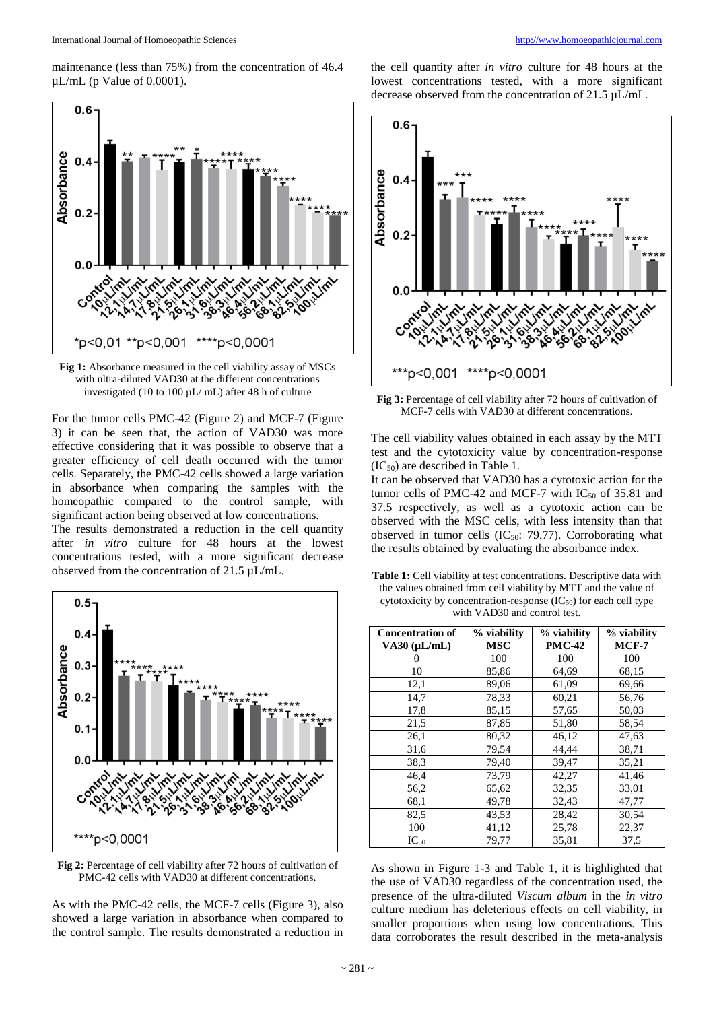maintenance (less than 75%) from the concentration of 46.4  $\mu$ L/mL (p Value of 0.0001).



**Fig 1:** Absorbance measured in the cell viability assay of MSCs with ultra-diluted VAD30 at the different concentrations investigated (10 to 100  $\mu$ L/ mL) after 48 h of culture

For the tumor cells PMC-42 (Figure 2) and MCF-7 (Figure 3) it can be seen that, the action of VAD30 was more effective considering that it was possible to observe that a greater efficiency of cell death occurred with the tumor cells. Separately, the PMC-42 cells showed a large variation in absorbance when comparing the samples with the homeopathic compared to the control sample, with significant action being observed at low concentrations.

The results demonstrated a reduction in the cell quantity after *in vitro* culture for 48 hours at the lowest concentrations tested, with a more significant decrease observed from the concentration of 21.5 µL/mL.



**Fig 2:** Percentage of cell viability after 72 hours of cultivation of PMC-42 cells with VAD30 at different concentrations.

As with the PMC-42 cells, the MCF-7 cells (Figure 3), also showed a large variation in absorbance when compared to the control sample. The results demonstrated a reduction in

the cell quantity after *in vitro* culture for 48 hours at the lowest concentrations tested, with a more significant decrease observed from the concentration of 21.5 µL/mL.



**Fig 3:** Percentage of cell viability after 72 hours of cultivation of MCF-7 cells with VAD30 at different concentrations.

The cell viability values obtained in each assay by the MTT test and the cytotoxicity value by concentration-response (IC50) are described in Table 1.

It can be observed that VAD30 has a cytotoxic action for the tumor cells of PMC-42 and MCF-7 with  $IC_{50}$  of 35.81 and 37.5 respectively, as well as a cytotoxic action can be observed with the MSC cells, with less intensity than that observed in tumor cells  $(IC_{50}: 79.77)$ . Corroborating what the results obtained by evaluating the absorbance index.

| <b>Table 1:</b> Cell viability at test concentrations. Descriptive data with |
|------------------------------------------------------------------------------|
| the values obtained from cell viability by MTT and the value of              |
| cytotoxicity by concentration-response $(IC_{50})$ for each cell type        |
| with VAD30 and control test.                                                 |

| <b>Concentration of</b> | % viability | % viability   | % viability |
|-------------------------|-------------|---------------|-------------|
| $VA30$ ( $\mu L/mL$ )   | <b>MSC</b>  | <b>PMC-42</b> | $MCF-7$     |
|                         | 100         | 100           | 100         |
| 10                      | 85,86       | 64,69         | 68,15       |
| 12,1                    | 89,06       | 61,09         | 69,66       |
| 14,7                    | 78,33       | 60,21         | 56,76       |
| 17,8                    | 85,15       | 57,65         | 50,03       |
| 21,5                    | 87,85       | 51,80         | 58,54       |
| 26,1                    | 80,32       | 46,12         | 47,63       |
| 31,6                    | 79,54       | 44,44         | 38,71       |
| 38,3                    | 79,40       | 39,47         | 35,21       |
| 46,4                    | 73,79       | 42,27         | 41,46       |
| 56,2                    | 65,62       | 32,35         | 33,01       |
| 68,1                    | 49,78       | 32,43         | 47,77       |
| 82,5                    | 43,53       | 28,42         | 30,54       |
| 100                     | 41,12       | 25,78         | 22,37       |
| $IC_{50}$               | 79,77       | 35,81         | 37,5        |

As shown in Figure 1-3 and Table 1, it is highlighted that the use of VAD30 regardless of the concentration used, the presence of the ultra-diluted *Viscum album* in the *in vitro* culture medium has deleterious effects on cell viability, in smaller proportions when using low concentrations. This data corroborates the result described in the meta-analysis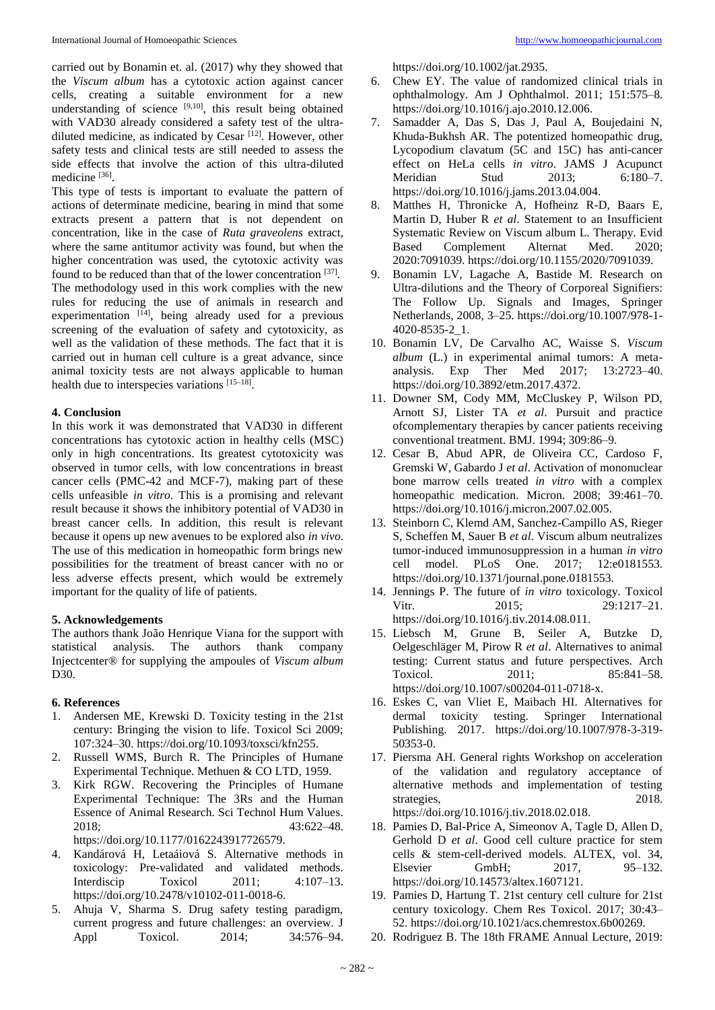carried out by Bonamin et. al. (2017) why they showed that the *Viscum album* has a cytotoxic action against cancer cells, creating a suitable environment for a new understanding of science  $[9,10]$ , this result being obtained with VAD30 already considered a safety test of the ultradiluted medicine, as indicated by Cesar [12]. However, other safety tests and clinical tests are still needed to assess the side effects that involve the action of this ultra-diluted medicine [36].

This type of tests is important to evaluate the pattern of actions of determinate medicine, bearing in mind that some extracts present a pattern that is not dependent on concentration, like in the case of *Ruta graveolens* extract, where the same antitumor activity was found, but when the higher concentration was used, the cytotoxic activity was found to be reduced than that of the lower concentration [37]. The methodology used in this work complies with the new rules for reducing the use of animals in research and experimentation  $[14]$ , being already used for a previous screening of the evaluation of safety and cytotoxicity, as well as the validation of these methods. The fact that it is carried out in human cell culture is a great advance, since animal toxicity tests are not always applicable to human health due to interspecies variations [15-18].

### **4. Conclusion**

In this work it was demonstrated that VAD30 in different concentrations has cytotoxic action in healthy cells (MSC) only in high concentrations. Its greatest cytotoxicity was observed in tumor cells, with low concentrations in breast cancer cells (PMC-42 and MCF-7), making part of these cells unfeasible *in vitro*. This is a promising and relevant result because it shows the inhibitory potential of VAD30 in breast cancer cells. In addition, this result is relevant because it opens up new avenues to be explored also *in vivo*. The use of this medication in homeopathic form brings new possibilities for the treatment of breast cancer with no or less adverse effects present, which would be extremely important for the quality of life of patients.

# **5. Acknowledgements**

The authors thank João Henrique Viana for the support with statistical analysis. The authors thank company Injectcenter® for supplying the ampoules of *Viscum album* D<sub>30</sub>.

#### **6. References**

- 1. Andersen ME, Krewski D. Toxicity testing in the 21st century: Bringing the vision to life. Toxicol Sci 2009; 107:324–30. https://doi.org/10.1093/toxsci/kfn255.
- 2. Russell WMS, Burch R. The Principles of Humane Experimental Technique. Methuen & CO LTD, 1959.
- 3. Kirk RGW. Recovering the Principles of Humane Experimental Technique: The 3Rs and the Human Essence of Animal Research. Sci Technol Hum Values. 2018; 43:622–48.

https://doi.org/10.1177/0162243917726579.

- 4. Kandárová H, Letaáiová S. Alternative methods in toxicology: Pre-validated and validated methods. Interdiscip Toxicol 2011; 4:107–13. https://doi.org/10.2478/v10102-011-0018-6.
- 5. Ahuja V, Sharma S. Drug safety testing paradigm, current progress and future challenges: an overview. J Appl Toxicol. 2014; 34:576-94.

https://doi.org/10.1002/jat.2935.

- 6. Chew EY. The value of randomized clinical trials in ophthalmology. Am J Ophthalmol. 2011; 151:575–8. https://doi.org/10.1016/j.ajo.2010.12.006.
- 7. Samadder A, Das S, Das J, Paul A, Boujedaini N, Khuda-Bukhsh AR. The potentized homeopathic drug, Lycopodium clavatum (5C and 15C) has anti-cancer effect on HeLa cells *in vitro*. JAMS J Acupunct Meridian Stud 2013; 6:180–7. https://doi.org/10.1016/j.jams.2013.04.004.
- Matthes H, Thronicke A, Hofheinz R-D, Baars E, Martin D, Huber R *et al*. Statement to an Insufficient Systematic Review on Viscum album L. Therapy. Evid Based Complement Alternat Med. 2020; 2020:7091039. https://doi.org/10.1155/2020/7091039.
- 9. Bonamin LV, Lagache A, Bastide M. Research on Ultra-dilutions and the Theory of Corporeal Signifiers: The Follow Up. Signals and Images, Springer Netherlands, 2008, 3–25. https://doi.org/10.1007/978-1- 4020-8535-2\_1.
- 10. Bonamin LV, De Carvalho AC, Waisse S. *Viscum album* (L.) in experimental animal tumors: A metaanalysis. Exp Ther Med 2017; 13:2723–40. https://doi.org/10.3892/etm.2017.4372.
- 11. Downer SM, Cody MM, McCluskey P, Wilson PD, Arnott SJ, Lister TA *et al*. Pursuit and practice ofcomplementary therapies by cancer patients receiving conventional treatment. BMJ. 1994; 309:86–9.
- 12. Cesar B, Abud APR, de Oliveira CC, Cardoso F, Gremski W, Gabardo J *et al*. Activation of mononuclear bone marrow cells treated *in vitro* with a complex homeopathic medication. Micron. 2008; 39:461-70. https://doi.org/10.1016/j.micron.2007.02.005.
- 13. Steinborn C, Klemd AM, Sanchez-Campillo AS, Rieger S, Scheffen M, Sauer B *et al*. Viscum album neutralizes tumor-induced immunosuppression in a human *in vitro* cell model. PLoS One. 2017; 12:e0181553. https://doi.org/10.1371/journal.pone.0181553.
- 14. Jennings P. The future of *in vitro* toxicology. Toxicol Vitr. 2015; 29:1217-21. https://doi.org/10.1016/j.tiv.2014.08.011.
- 15. Liebsch M, Grune B, Seiler A, Butzke D, Oelgeschläger M, Pirow R *et al*. Alternatives to animal testing: Current status and future perspectives. Arch Toxicol. 2011; 85:841-58. https://doi.org/10.1007/s00204-011-0718-x.
- 16. Eskes C, van Vliet E, Maibach HI. Alternatives for dermal toxicity testing. Springer International Publishing. 2017. https://doi.org/10.1007/978-3-319- 50353-0.
- 17. Piersma AH. General rights Workshop on acceleration of the validation and regulatory acceptance of alternative methods and implementation of testing strategies, 2018. https://doi.org/10.1016/j.tiv.2018.02.018.
- 18. Pamies D, Bal-Price A, Simeonov A, Tagle D, Allen D, Gerhold D *et al*. Good cell culture practice for stem cells & stem-cell-derived models. ALTEX, vol. 34, Elsevier GmbH; 2017, 95–132. https://doi.org/10.14573/altex.1607121.
- 19. Pamies D, Hartung T. 21st century cell culture for 21st century toxicology. Chem Res Toxicol. 2017; 30:43– 52. https://doi.org/10.1021/acs.chemrestox.6b00269.
- 20. Rodriguez B. The 18th FRAME Annual Lecture, 2019: